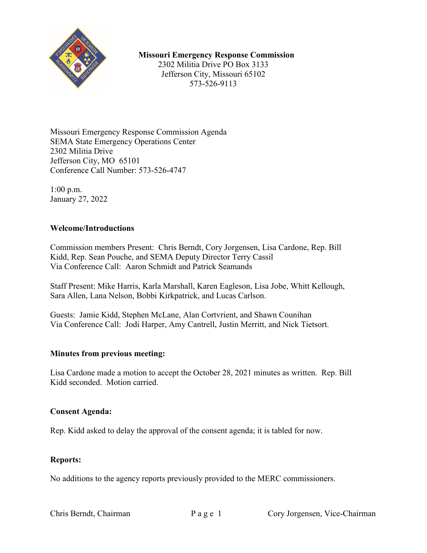

## **Missouri Emergency Response Commission**

2302 Militia Drive PO Box 3133 Jefferson City, Missouri 65102 573-526-9113

Missouri Emergency Response Commission Agenda SEMA State Emergency Operations Center 2302 Militia Drive Jefferson City, MO 65101 Conference Call Number: 573-526-4747

1:00 p.m. January 27, 2022

## **Welcome/Introductions**

Commission members Present: Chris Berndt, Cory Jorgensen, Lisa Cardone, Rep. Bill Kidd, Rep. Sean Pouche, and SEMA Deputy Director Terry Cassil Via Conference Call: Aaron Schmidt and Patrick Seamands

Staff Present: Mike Harris, Karla Marshall, Karen Eagleson, Lisa Jobe, Whitt Kellough, Sara Allen, Lana Nelson, Bobbi Kirkpatrick, and Lucas Carlson.

Guests: Jamie Kidd, Stephen McLane, Alan Cortvrient, and Shawn Counihan Via Conference Call: Jodi Harper, Amy Cantrell, Justin Merritt, and Nick Tietsort.

## **Minutes from previous meeting:**

Lisa Cardone made a motion to accept the October 28, 2021 minutes as written. Rep. Bill Kidd seconded. Motion carried.

## **Consent Agenda:**

Rep. Kidd asked to delay the approval of the consent agenda; it is tabled for now.

## **Reports:**

No additions to the agency reports previously provided to the MERC commissioners.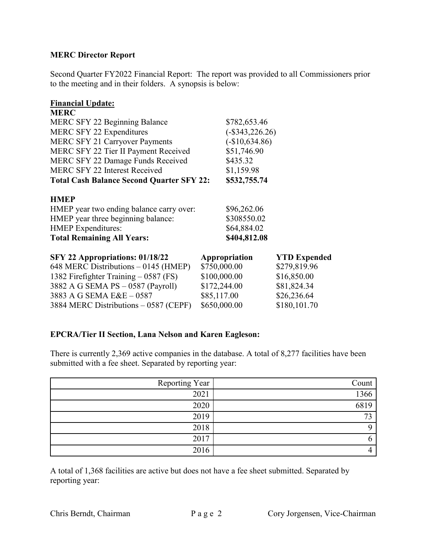## **MERC Director Report**

Second Quarter FY2022 Financial Report: The report was provided to all Commissioners prior to the meeting and in their folders. A synopsis is below:

#### **Financial Update:**

| <b>MERC</b>                                      |                   |                     |
|--------------------------------------------------|-------------------|---------------------|
| <b>MERC SFY 22 Beginning Balance</b>             | \$782,653.46      |                     |
| <b>MERC SFY 22 Expenditures</b>                  | $(-\$343,226.26)$ |                     |
| <b>MERC SFY 21 Carryover Payments</b>            | $(-\$10,634.86)$  |                     |
| MERC SFY 22 Tier II Payment Received             | \$51,746.90       |                     |
| MERC SFY 22 Damage Funds Received                | \$435.32          |                     |
| MERC SFY 22 Interest Received                    | \$1,159.98        |                     |
| <b>Total Cash Balance Second Quarter SFY 22:</b> | \$532,755.74      |                     |
| <b>HMEP</b>                                      |                   |                     |
| HMEP year two ending balance carry over:         | \$96,262.06       |                     |
| HMEP year three beginning balance:               | \$308550.02       |                     |
| <b>HMEP</b> Expenditures:                        | \$64,884.02       |                     |
| <b>Total Remaining All Years:</b>                | \$404,812.08      |                     |
| SFY 22 Appropriations: 01/18/22                  | Appropriation     | <b>YTD Expended</b> |
| 648 MERC Distributions – 0145 (HMEP)             | \$750,000.00      | \$279,819.96        |
| 1382 Firefighter Training – 0587 (FS)            | \$100,000.00      | \$16,850.00         |
| 3882 A G SEMA PS - 0587 (Payroll)                | \$172,244.00      | \$81,824.34         |

3883 A G SEMA E&E – 0587 \$85,117.00 \$26,236.64 3884 MERC Distributions – 0587 (CEPF) \$650,000.00 \$180,101.70

# **EPCRA/Tier II Section, Lana Nelson and Karen Eagleson:**

There is currently 2,369 active companies in the database. A total of 8,277 facilities have been submitted with a fee sheet. Separated by reporting year:

| Reporting Year | Count |
|----------------|-------|
| 2021           | 1366  |
| 2020           | 6819  |
| 2019           | 73    |
| 2018           |       |
| 2017           |       |
| 2016           |       |

A total of 1,368 facilities are active but does not have a fee sheet submitted. Separated by reporting year: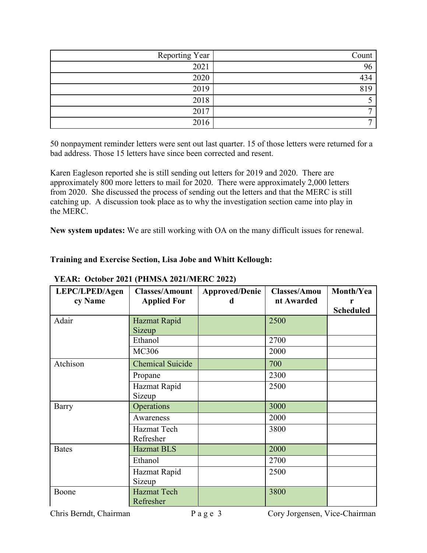| Reporting Year | Count |
|----------------|-------|
| 2021           | 96    |
| 2020           | 434   |
| 2019           | 819   |
| 2018           |       |
| 2017           | ┍     |
| 2016           | ┍     |

50 nonpayment reminder letters were sent out last quarter. 15 of those letters were returned for a bad address. Those 15 letters have since been corrected and resent.

Karen Eagleson reported she is still sending out letters for 2019 and 2020. There are approximately 800 more letters to mail for 2020. There were approximately 2,000 letters from 2020. She discussed the process of sending out the letters and that the MERC is still catching up. A discussion took place as to why the investigation section came into play in the MERC.

**New system updates:** We are still working with OA on the many difficult issues for renewal.

## **Training and Exercise Section, Lisa Jobe and Whitt Kellough:**

| LEPC/LPED/Agen | <b>Classes/Amount</b>   | <b>Approved/Denie</b> | <b>Classes/Amou</b> | Month/Yea        |
|----------------|-------------------------|-----------------------|---------------------|------------------|
| cy Name        | <b>Applied For</b>      | d                     | nt Awarded          | r                |
|                |                         |                       |                     | <b>Scheduled</b> |
| Adair          | Hazmat Rapid            |                       | 2500                |                  |
|                | Sizeup                  |                       |                     |                  |
|                | Ethanol                 |                       | 2700                |                  |
|                | <b>MC306</b>            |                       | 2000                |                  |
| Atchison       | <b>Chemical Suicide</b> |                       | 700                 |                  |
|                | Propane                 |                       | 2300                |                  |
|                | Hazmat Rapid            |                       | 2500                |                  |
|                | Sizeup                  |                       |                     |                  |
| Barry          | Operations              |                       | 3000                |                  |
|                | Awareness               |                       | 2000                |                  |
|                | Hazmat Tech             |                       | 3800                |                  |
|                | Refresher               |                       |                     |                  |
| <b>Bates</b>   | <b>Hazmat BLS</b>       |                       | 2000                |                  |
|                | Ethanol                 |                       | 2700                |                  |
|                | Hazmat Rapid            |                       | 2500                |                  |
|                | Sizeup                  |                       |                     |                  |
| Boone          | <b>Hazmat Tech</b>      |                       | 3800                |                  |
|                | Refresher               |                       |                     |                  |

## **YEAR: October 2021 (PHMSA 2021/MERC 2022)**

Chris Berndt, Chairman Page 3 Cory Jorgensen, Vice-Chairman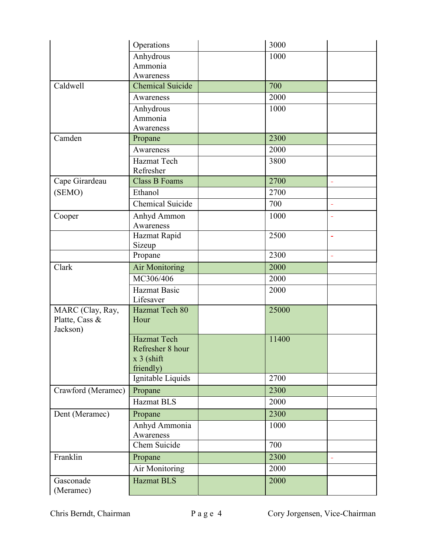|                    | Operations                     | 3000  |                          |
|--------------------|--------------------------------|-------|--------------------------|
|                    | Anhydrous                      | 1000  |                          |
|                    | Ammonia                        |       |                          |
|                    | Awareness                      |       |                          |
| Caldwell           | <b>Chemical Suicide</b>        | 700   |                          |
|                    | Awareness                      | 2000  |                          |
|                    | Anhydrous                      | 1000  |                          |
|                    | Ammonia                        |       |                          |
|                    | Awareness                      |       |                          |
| Camden             | Propane                        | 2300  |                          |
|                    | Awareness                      | 2000  |                          |
|                    | Hazmat Tech                    | 3800  |                          |
|                    | Refresher                      |       |                          |
| Cape Girardeau     | <b>Class B Foams</b>           | 2700  | $\equiv$                 |
| (SEMO)             | Ethanol                        | 2700  |                          |
|                    | Chemical Suicide               | 700   | ÷,                       |
| Cooper             | Anhyd Ammon                    | 1000  | $\equiv$                 |
|                    | Awareness                      |       |                          |
|                    | Hazmat Rapid                   | 2500  | $\overline{\phantom{a}}$ |
|                    | Sizeup                         |       |                          |
|                    | Propane                        | 2300  | ä,                       |
| Clark              | <b>Air Monitoring</b>          | 2000  |                          |
|                    | MC306/406                      | 2000  |                          |
|                    | <b>Hazmat Basic</b>            | 2000  |                          |
|                    | Lifesaver                      |       |                          |
| MARC (Clay, Ray,   | Hazmat Tech 80                 | 25000 |                          |
| Platte, Cass &     | Hour                           |       |                          |
| Jackson)           |                                |       |                          |
|                    | <b>Hazmat Tech</b>             | 11400 |                          |
|                    | Refresher 8 hour               |       |                          |
|                    | x 3 (shift                     |       |                          |
|                    | friendly)<br>Ignitable Liquids | 2700  |                          |
|                    |                                |       |                          |
| Crawford (Meramec) | Propane                        | 2300  |                          |
|                    | <b>Hazmat BLS</b>              | 2000  |                          |
| Dent (Meramec)     | Propane                        | 2300  |                          |
|                    | Anhyd Ammonia                  | 1000  |                          |
|                    | Awareness                      |       |                          |
|                    | Chem Suicide                   | 700   |                          |
| Franklin           | Propane                        | 2300  | $\overline{\phantom{0}}$ |
|                    | Air Monitoring                 | 2000  |                          |
| Gasconade          | <b>Hazmat BLS</b>              | 2000  |                          |
| (Meramec)          |                                |       |                          |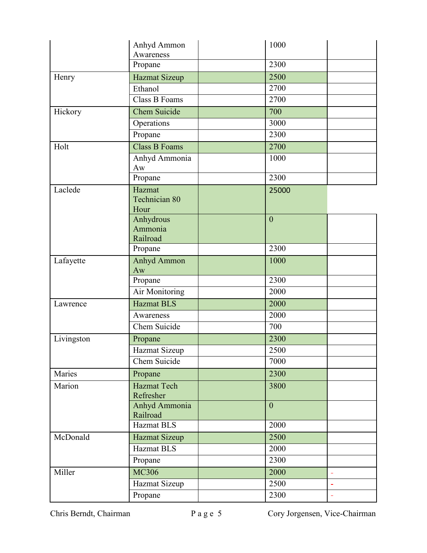|            | Anhyd Ammon                      | 1000           |                |
|------------|----------------------------------|----------------|----------------|
|            | Awareness                        |                |                |
|            | Propane                          | 2300           |                |
| Henry      | <b>Hazmat Sizeup</b>             | 2500           |                |
|            | Ethanol                          | 2700           |                |
|            | Class B Foams                    | 2700           |                |
| Hickory    | Chem Suicide                     | 700            |                |
|            | Operations                       | 3000           |                |
|            | Propane                          | 2300           |                |
| Holt       | <b>Class B Foams</b>             | 2700           |                |
|            | Anhyd Ammonia<br>Aw              | 1000           |                |
|            | Propane                          | 2300           |                |
| Laclede    | Hazmat                           | 25000          |                |
|            | Technician 80<br>Hour            |                |                |
|            | Anhydrous<br>Ammonia<br>Railroad | $\overline{0}$ |                |
|            | Propane                          | 2300           |                |
| Lafayette  | Anhyd Ammon<br>Aw                | 1000           |                |
|            | Propane                          | 2300           |                |
|            | Air Monitoring                   | 2000           |                |
| Lawrence   | <b>Hazmat BLS</b>                | 2000           |                |
|            | Awareness                        | 2000           |                |
|            | Chem Suicide                     | 700            |                |
| Livingston | Propane                          | 2300           |                |
|            | Hazmat Sizeup                    | 2500           |                |
|            | Chem Suicide                     | 7000           |                |
| Maries     | Propane                          | 2300           |                |
| Marion     | <b>Hazmat Tech</b><br>Refresher  | 3800           |                |
|            | Anhyd Ammonia<br>Railroad        | $\overline{0}$ |                |
|            | <b>Hazmat BLS</b>                | 2000           |                |
| McDonald   | Hazmat Sizeup                    | 2500           |                |
|            | <b>Hazmat BLS</b>                | 2000           |                |
|            | Propane                          | 2300           |                |
| Miller     | <b>MC306</b>                     | 2000           |                |
|            | Hazmat Sizeup                    | 2500           | $\blacksquare$ |
|            | Propane                          | 2300           | $\Box$         |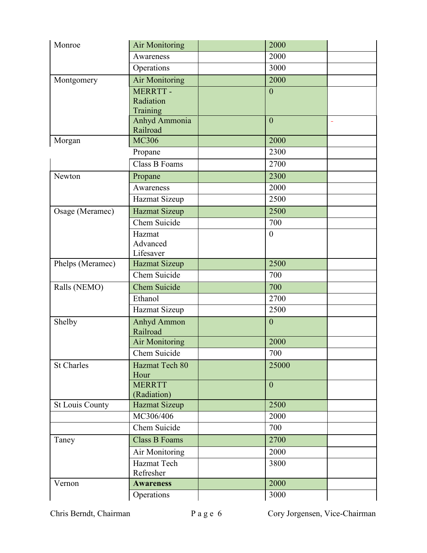| Monroe                 | <b>Air Monitoring</b>     | 2000           |                |
|------------------------|---------------------------|----------------|----------------|
|                        | Awareness                 | 2000           |                |
|                        | Operations                | 3000           |                |
| Montgomery             | <b>Air Monitoring</b>     | 2000           |                |
|                        | MERRTT-                   | $\overline{0}$ |                |
|                        | Radiation                 |                |                |
|                        | Training                  |                |                |
|                        | Anhyd Ammonia<br>Railroad | $\overline{0}$ | $\blacksquare$ |
| Morgan                 | <b>MC306</b>              | 2000           |                |
|                        | Propane                   | 2300           |                |
|                        | Class B Foams             | 2700           |                |
| Newton                 | Propane                   | 2300           |                |
|                        | Awareness                 | 2000           |                |
|                        |                           | 2500           |                |
|                        | Hazmat Sizeup             |                |                |
| Osage (Meramec)        | <b>Hazmat Sizeup</b>      | 2500           |                |
|                        | Chem Suicide              | 700            |                |
|                        | Hazmat                    | $\mathbf{0}$   |                |
|                        | Advanced<br>Lifesaver     |                |                |
| Phelps (Meramec)       | <b>Hazmat Sizeup</b>      | 2500           |                |
|                        | Chem Suicide              | 700            |                |
| Ralls (NEMO)           | Chem Suicide              | 700            |                |
|                        | Ethanol                   | 2700           |                |
|                        | Hazmat Sizeup             | 2500           |                |
| Shelby                 | Anhyd Ammon               | $\mathbf{0}$   |                |
|                        | Railroad                  |                |                |
|                        | <b>Air Monitoring</b>     | 2000           |                |
|                        | Chem Suicide              | 700            |                |
| <b>St Charles</b>      | Hazmat Tech 80            | 25000          |                |
|                        | Hour                      |                |                |
|                        | <b>MERRTT</b>             | $\overline{0}$ |                |
|                        | (Radiation)               |                |                |
| <b>St Louis County</b> | Hazmat Sizeup             | 2500           |                |
|                        | MC306/406                 | 2000           |                |
|                        | Chem Suicide              | 700            |                |
| Taney                  | <b>Class B Foams</b>      | 2700           |                |
|                        | Air Monitoring            | 2000           |                |
|                        | Hazmat Tech               | 3800           |                |
|                        | Refresher                 |                |                |
| Vernon                 | <b>Awareness</b>          | 2000           |                |
|                        | Operations                | 3000           |                |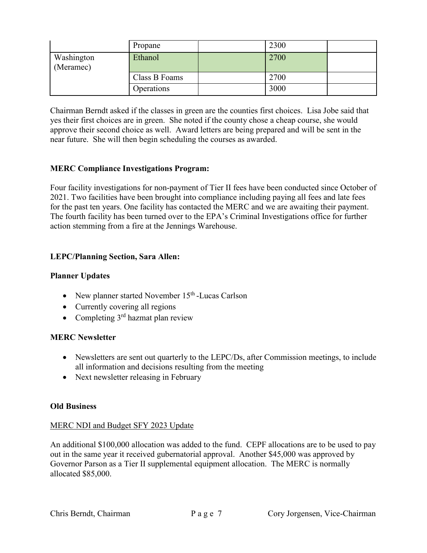|                         | Propane       | 2300 |  |
|-------------------------|---------------|------|--|
| Washington<br>(Meramec) | Ethanol       | 2700 |  |
|                         | Class B Foams | 2700 |  |
|                         | Operations    | 3000 |  |

Chairman Berndt asked if the classes in green are the counties first choices. Lisa Jobe said that yes their first choices are in green. She noted if the county chose a cheap course, she would approve their second choice as well. Award letters are being prepared and will be sent in the near future. She will then begin scheduling the courses as awarded.

## **MERC Compliance Investigations Program:**

Four facility investigations for non-payment of Tier II fees have been conducted since October of 2021. Two facilities have been brought into compliance including paying all fees and late fees for the past ten years. One facility has contacted the MERC and we are awaiting their payment. The fourth facility has been turned over to the EPA's Criminal Investigations office for further action stemming from a fire at the Jennings Warehouse.

## **LEPC/Planning Section, Sara Allen:**

## **Planner Updates**

- New planner started November  $15<sup>th</sup>$ -Lucas Carlson
- Currently covering all regions
- Completing  $3^{rd}$  hazmat plan review

#### **MERC Newsletter**

- Newsletters are sent out quarterly to the LEPC/Ds, after Commission meetings, to include all information and decisions resulting from the meeting
- Next newsletter releasing in February

#### **Old Business**

#### MERC NDI and Budget SFY 2023 Update

An additional \$100,000 allocation was added to the fund. CEPF allocations are to be used to pay out in the same year it received gubernatorial approval. Another \$45,000 was approved by Governor Parson as a Tier II supplemental equipment allocation. The MERC is normally allocated \$85,000.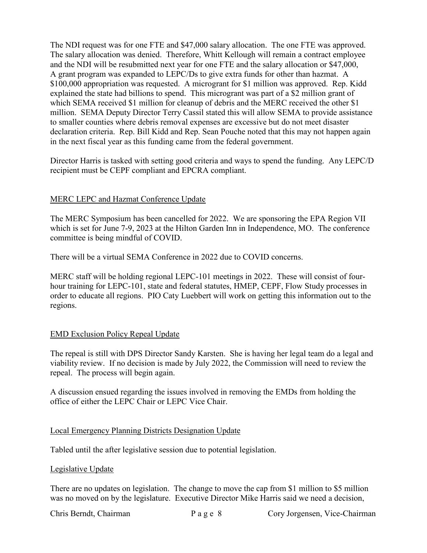The NDI request was for one FTE and \$47,000 salary allocation. The one FTE was approved. The salary allocation was denied. Therefore, Whitt Kellough will remain a contract employee and the NDI will be resubmitted next year for one FTE and the salary allocation or \$47,000, A grant program was expanded to LEPC/Ds to give extra funds for other than hazmat. A \$100,000 appropriation was requested. A microgrant for \$1 million was approved. Rep. Kidd explained the state had billions to spend. This microgrant was part of a \$2 million grant of which SEMA received \$1 million for cleanup of debris and the MERC received the other \$1 million. SEMA Deputy Director Terry Cassil stated this will allow SEMA to provide assistance to smaller counties where debris removal expenses are excessive but do not meet disaster declaration criteria. Rep. Bill Kidd and Rep. Sean Pouche noted that this may not happen again in the next fiscal year as this funding came from the federal government.

Director Harris is tasked with setting good criteria and ways to spend the funding. Any LEPC/D recipient must be CEPF compliant and EPCRA compliant.

## MERC LEPC and Hazmat Conference Update

The MERC Symposium has been cancelled for 2022. We are sponsoring the EPA Region VII which is set for June 7-9, 2023 at the Hilton Garden Inn in Independence, MO. The conference committee is being mindful of COVID.

There will be a virtual SEMA Conference in 2022 due to COVID concerns.

MERC staff will be holding regional LEPC-101 meetings in 2022. These will consist of fourhour training for LEPC-101, state and federal statutes, HMEP, CEPF, Flow Study processes in order to educate all regions. PIO Caty Luebbert will work on getting this information out to the regions.

#### EMD Exclusion Policy Repeal Update

The repeal is still with DPS Director Sandy Karsten. She is having her legal team do a legal and viability review. If no decision is made by July 2022, the Commission will need to review the repeal. The process will begin again.

A discussion ensued regarding the issues involved in removing the EMDs from holding the office of either the LEPC Chair or LEPC Vice Chair.

#### Local Emergency Planning Districts Designation Update

Tabled until the after legislative session due to potential legislation.

#### Legislative Update

There are no updates on legislation. The change to move the cap from \$1 million to \$5 million was no moved on by the legislature. Executive Director Mike Harris said we need a decision,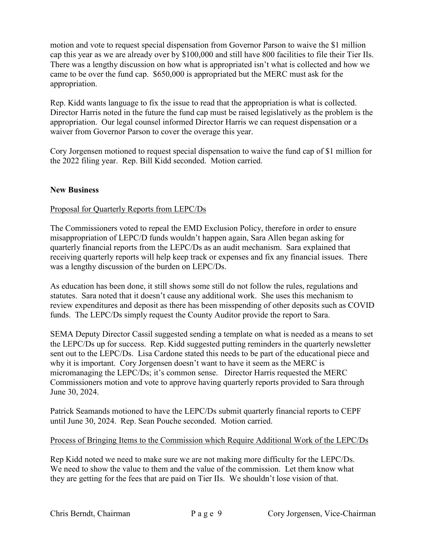motion and vote to request special dispensation from Governor Parson to waive the \$1 million cap this year as we are already over by \$100,000 and still have 800 facilities to file their Tier IIs. There was a lengthy discussion on how what is appropriated isn't what is collected and how we came to be over the fund cap. \$650,000 is appropriated but the MERC must ask for the appropriation.

Rep. Kidd wants language to fix the issue to read that the appropriation is what is collected. Director Harris noted in the future the fund cap must be raised legislatively as the problem is the appropriation. Our legal counsel informed Director Harris we can request dispensation or a waiver from Governor Parson to cover the overage this year.

Cory Jorgensen motioned to request special dispensation to waive the fund cap of \$1 million for the 2022 filing year. Rep. Bill Kidd seconded. Motion carried.

## **New Business**

## Proposal for Quarterly Reports from LEPC/Ds

The Commissioners voted to repeal the EMD Exclusion Policy, therefore in order to ensure misappropriation of LEPC/D funds wouldn't happen again, Sara Allen began asking for quarterly financial reports from the LEPC/Ds as an audit mechanism. Sara explained that receiving quarterly reports will help keep track or expenses and fix any financial issues. There was a lengthy discussion of the burden on LEPC/Ds.

As education has been done, it still shows some still do not follow the rules, regulations and statutes. Sara noted that it doesn't cause any additional work. She uses this mechanism to review expenditures and deposit as there has been misspending of other deposits such as COVID funds. The LEPC/Ds simply request the County Auditor provide the report to Sara.

SEMA Deputy Director Cassil suggested sending a template on what is needed as a means to set the LEPC/Ds up for success. Rep. Kidd suggested putting reminders in the quarterly newsletter sent out to the LEPC/Ds. Lisa Cardone stated this needs to be part of the educational piece and why it is important. Cory Jorgensen doesn't want to have it seem as the MERC is micromanaging the LEPC/Ds; it's common sense. Director Harris requested the MERC Commissioners motion and vote to approve having quarterly reports provided to Sara through June 30, 2024.

Patrick Seamands motioned to have the LEPC/Ds submit quarterly financial reports to CEPF until June 30, 2024. Rep. Sean Pouche seconded. Motion carried.

#### Process of Bringing Items to the Commission which Require Additional Work of the LEPC/Ds

Rep Kidd noted we need to make sure we are not making more difficulty for the LEPC/Ds. We need to show the value to them and the value of the commission. Let them know what they are getting for the fees that are paid on Tier IIs. We shouldn't lose vision of that.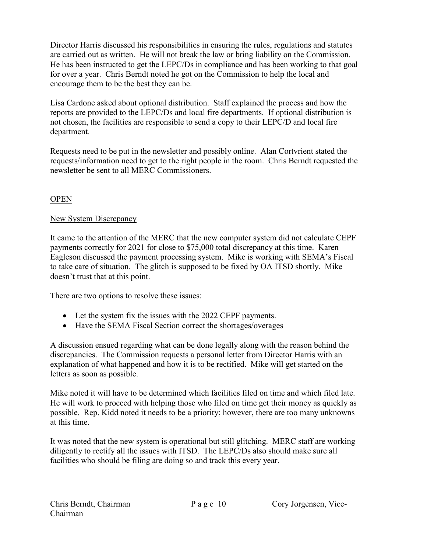Director Harris discussed his responsibilities in ensuring the rules, regulations and statutes are carried out as written. He will not break the law or bring liability on the Commission. He has been instructed to get the LEPC/Ds in compliance and has been working to that goal for over a year. Chris Berndt noted he got on the Commission to help the local and encourage them to be the best they can be.

Lisa Cardone asked about optional distribution. Staff explained the process and how the reports are provided to the LEPC/Ds and local fire departments. If optional distribution is not chosen, the facilities are responsible to send a copy to their LEPC/D and local fire department.

Requests need to be put in the newsletter and possibly online. Alan Cortvrient stated the requests/information need to get to the right people in the room. Chris Berndt requested the newsletter be sent to all MERC Commissioners.

## OPEN

# New System Discrepancy

It came to the attention of the MERC that the new computer system did not calculate CEPF payments correctly for 2021 for close to \$75,000 total discrepancy at this time. Karen Eagleson discussed the payment processing system. Mike is working with SEMA's Fiscal to take care of situation. The glitch is supposed to be fixed by OA ITSD shortly. Mike doesn't trust that at this point.

There are two options to resolve these issues:

- Let the system fix the issues with the 2022 CEPF payments.
- Have the SEMA Fiscal Section correct the shortages/overages

A discussion ensued regarding what can be done legally along with the reason behind the discrepancies. The Commission requests a personal letter from Director Harris with an explanation of what happened and how it is to be rectified. Mike will get started on the letters as soon as possible.

Mike noted it will have to be determined which facilities filed on time and which filed late. He will work to proceed with helping those who filed on time get their money as quickly as possible. Rep. Kidd noted it needs to be a priority; however, there are too many unknowns at this time.

It was noted that the new system is operational but still glitching. MERC staff are working diligently to rectify all the issues with ITSD. The LEPC/Ds also should make sure all facilities who should be filing are doing so and track this every year.